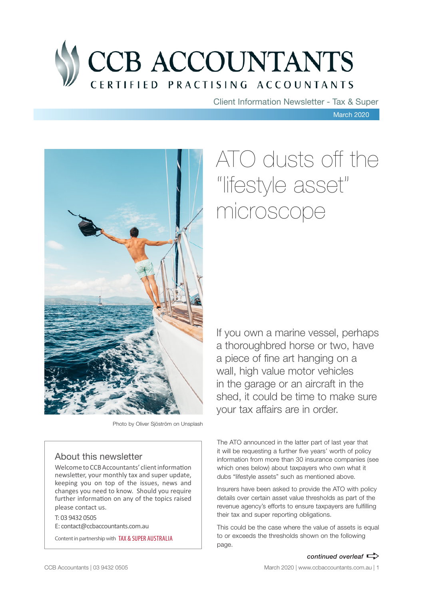

Client Information Newsletter - Tax & Super

March 2020



Photo by Oliver Sjöström on Unsplash

### About this newsletter

Welcome to CCB Accountants' client information newsletter, your monthly tax and super update, keeping you on top of the issues, news and changes you need to know. Should you require further information on any of the topics raised please contact us.

T: 03 9432 0505 E: contact@ccbaccountants.com.au

Content in partnership with TAX & SUPER AUSTRALIA

# ATO dusts off the "lifestyle asset" microscope

If you own a marine vessel, perhaps a thoroughbred horse or two, have a piece of fine art hanging on a wall, high value motor vehicles in the garage or an aircraft in the shed, it could be time to make sure your tax affairs are in order.

The ATO announced in the latter part of last year that it will be requesting a further five years' worth of policy information from more than 30 insurance companies (see which ones below) about taxpayers who own what it dubs "lifestyle assets" such as mentioned above.

Insurers have been asked to provide the ATO with policy details over certain asset value thresholds as part of the revenue agency's efforts to ensure taxpayers are fulfilling their tax and super reporting obligations.

This could be the case where the value of assets is equal to or exceeds the thresholds shown on the following page.

*continued overleaf*  $\Rightarrow$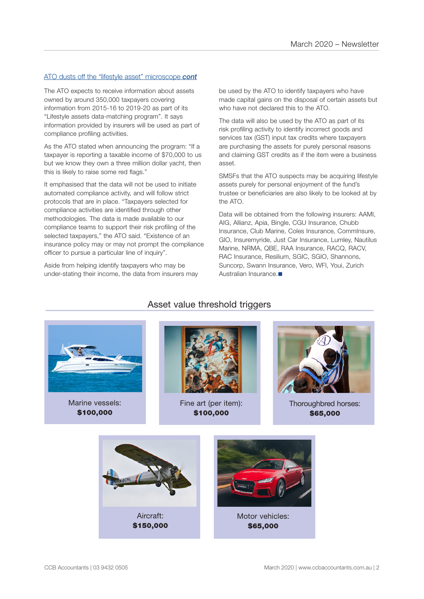### ATO dusts off the "lifestyle asset" microscope *cont*

The ATO expects to receive information about assets owned by around 350,000 taxpayers covering information from 2015-16 to 2019-20 as part of its "Lifestyle assets data-matching program". It says information provided by insurers will be used as part of compliance profiling activities.

As the ATO stated when announcing the program: "If a taxpayer is reporting a taxable income of \$70,000 to us but we know they own a three million dollar yacht, then this is likely to raise some red flags."

It emphasised that the data will not be used to initiate automated compliance activity, and will follow strict protocols that are in place. "Taxpayers selected for compliance activities are identified through other methodologies. The data is made available to our compliance teams to support their risk profiling of the selected taxpayers," the ATO said. "Existence of an insurance policy may or may not prompt the compliance officer to pursue a particular line of inquiry".

Aside from helping identify taxpayers who may be under-stating their income, the data from insurers may be used by the ATO to identify taxpayers who have made capital gains on the disposal of certain assets but who have not declared this to the ATO.

The data will also be used by the ATO as part of its risk profiling activity to identify incorrect goods and services tax (GST) input tax credits where taxpayers are purchasing the assets for purely personal reasons and claiming GST credits as if the item were a business asset.

SMSFs that the ATO suspects may be acquiring lifestyle assets purely for personal enjoyment of the fund's trustee or beneficiaries are also likely to be looked at by the ATO.

Data will be obtained from the following insurers: AAMI, AIG, Allianz, Apia, Bingle, CGU Insurance, Chubb Insurance, Club Marine, Coles Insurance, CommInsure, GIO, Insuremyride, Just Car Insurance, Lumley, Nautilus Marine, NRMA, QBE, RAA Insurance, RACQ, RACV, RAC Insurance, Resilium, SGIC, SGIO, Shannons, Suncorp, Swann Insurance, Vero, WFI, Youi, Zurich Australian Insurance.



Marine vessels: \$100,000



Fine art (per item): \$100,000



Thoroughbred horses: \$65,000



### Asset value threshold triggers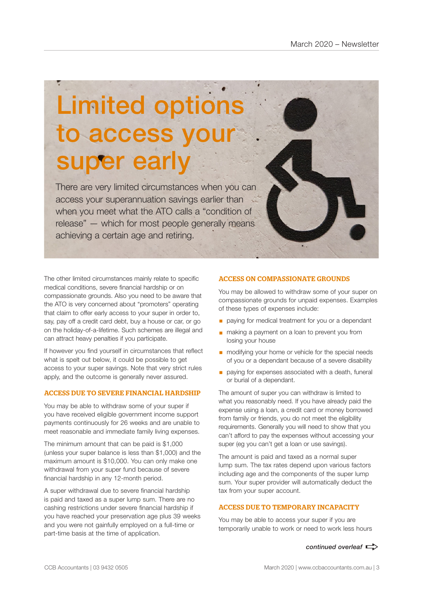# Limited options to access your super early

There are very limited circumstances when you can access your superannuation savings earlier than when you meet what the ATO calls a "condition of release" — which for most people generally means achieving a certain age and retiring.

The other limited circumstances mainly relate to specific medical conditions, severe financial hardship or on compassionate grounds. Also you need to be aware that the ATO is very concerned about "promoters" operating that claim to offer early access to your super in order to, say, pay off a credit card debt, buy a house or car, or go on the holiday-of-a-lifetime. Such schemes are illegal and can attract heavy penalties if you participate.

If however you find yourself in circumstances that reflect what is spelt out below, it could be possible to get access to your super savings. Note that very strict rules apply, and the outcome is generally never assured.

### ACCESS DUE TO SEVERE FINANCIAL HARDSHIP

You may be able to withdraw some of your super if you have received eligible government income support payments continuously for 26 weeks and are unable to meet reasonable and immediate family living expenses.

The minimum amount that can be paid is \$1,000 (unless your super balance is less than \$1,000) and the maximum amount is \$10,000. You can only make one withdrawal from your super fund because of severe financial hardship in any 12-month period.

A super withdrawal due to severe financial hardship is paid and taxed as a super lump sum. There are no cashing restrictions under severe financial hardship if you have reached your preservation age plus 39 weeks and you were not gainfully employed on a full-time or part-time basis at the time of application.

### ACCESS ON COMPASSIONATE GROUNDS

You may be allowed to withdraw some of your super on compassionate grounds for unpaid expenses. Examples of these types of expenses include:

- **•** paying for medical treatment for you or a dependant
- making a payment on a loan to prevent you from losing your house
- modifying your home or vehicle for the special needs of you or a dependant because of a severe disability
- paying for expenses associated with a death, funeral or burial of a dependant.

The amount of super you can withdraw is limited to what you reasonably need. If you have already paid the expense using a loan, a credit card or money borrowed from family or friends, you do not meet the eligibility requirements. Generally you will need to show that you can't afford to pay the expenses without accessing your super (eg you can't get a loan or use savings).

The amount is paid and taxed as a normal super lump sum. The tax rates depend upon various factors including age and the components of the super lump sum. Your super provider will automatically deduct the tax from your super account.

### ACCESS DUE TO TEMPORARY INCAPACITY

You may be able to access your super if you are temporarily unable to work or need to work less hours

*continued overleaf*  $\Rightarrow$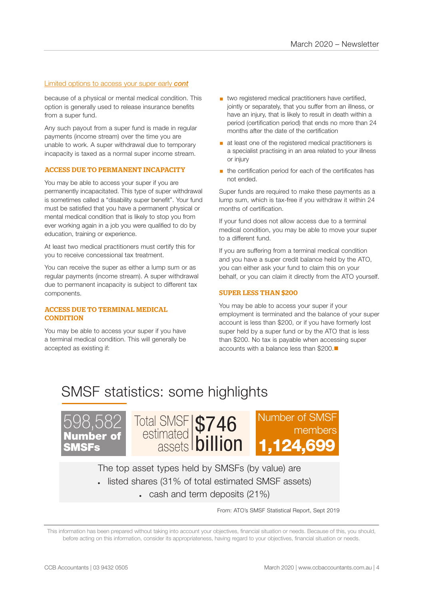### Limited options to access your super early *cont*

because of a physical or mental medical condition. This option is generally used to release insurance benefits from a super fund.

Any such payout from a super fund is made in regular payments (income stream) over the time you are unable to work. A super withdrawal due to temporary incapacity is taxed as a normal super income stream.

### ACCESS DUE TO PERMANENT INCAPACITY

You may be able to access your super if you are permanently incapacitated. This type of super withdrawal is sometimes called a "disability super benefit". Your fund must be satisfied that you have a permanent physical or mental medical condition that is likely to stop you from ever working again in a job you were qualified to do by education, training or experience.

At least two medical practitioners must certify this for you to receive concessional tax treatment.

You can receive the super as either a lump sum or as regular payments (income stream). A super withdrawal due to permanent incapacity is subject to different tax components.

#### ACCESS DUE TO TERMINAL MEDICAL **CONDITION**

You may be able to access your super if you have a terminal medical condition. This will generally be accepted as existing if:

- two registered medical practitioners have certified, jointly or separately, that you suffer from an illness, or have an injury, that is likely to result in death within a period (certification period) that ends no more than 24 months after the date of the certification
- at least one of the registered medical practitioners is a specialist practising in an area related to your illness or injury
- the certification period for each of the certificates has not ended.

Super funds are required to make these payments as a lump sum, which is tax-free if you withdraw it within 24 months of certification.

If your fund does not allow access due to a terminal medical condition, you may be able to move your super to a different fund.

If you are suffering from a terminal medical condition and you have a super credit balance held by the ATO, you can either ask your fund to claim this on your behalf, or you can claim it directly from the ATO yourself.

### SUPER LESS THAN \$200

You may be able to access your super if your employment is terminated and the balance of your super account is less than \$200, or if you have formerly lost super held by a super fund or by the ATO that is less than \$200. No tax is payable when accessing super accounts with a balance less than \$200 $\blacksquare$ 

### SMSF statistics: some highlights







The top asset types held by SMSFs (by value) are • listed shares (31% of total estimated SMSF assets)

 $\cdot$  cash and term deposits (21%)

From: ATO's SMSF Statistical Report, Sept 2019

This information has been prepared without taking into account your objectives, financial situation or needs. Because of this, you should, before acting on this information, consider its appropriateness, having regard to your objectives, financial situation or needs.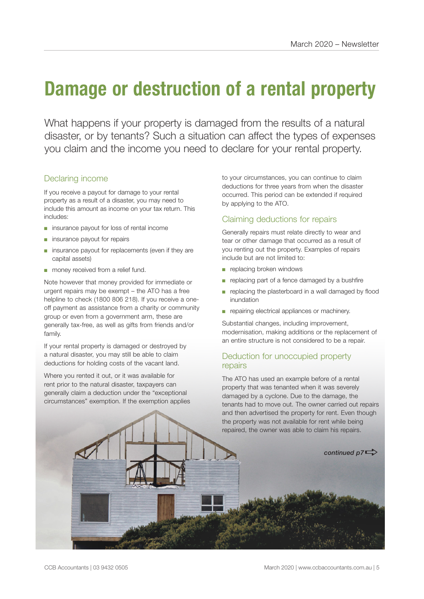### **Damage or destruction of a rental property**

What happens if your property is damaged from the results of a natural disaster, or by tenants? Such a situation can affect the types of expenses you claim and the income you need to declare for your rental property.

### Declaring income

If you receive a payout for damage to your rental property as a result of a disaster, you may need to include this amount as income on your tax return. This includes:

- insurance payout for loss of rental income
- insurance payout for repairs
- insurance payout for replacements (even if they are capital assets)
- money received from a relief fund.

Note however that money provided for immediate or urgent repairs may be exempt – the ATO has a free helpline to check (1800 806 218). If you receive a oneoff payment as assistance from a charity or community group or even from a government arm, these are generally tax-free, as well as gifts from friends and/or family.

If your rental property is damaged or destroyed by a natural disaster, you may still be able to claim deductions for holding costs of the vacant land.

Where you rented it out, or it was available for rent prior to the natural disaster, taxpayers can generally claim a deduction under the "exceptional circumstances" exemption. If the exemption applies to your circumstances, you can continue to claim deductions for three years from when the disaster occurred. This period can be extended if required by applying to the ATO.

### Claiming deductions for repairs

Generally repairs must relate directly to wear and tear or other damage that occurred as a result of you renting out the property. Examples of repairs include but are not limited to:

- replacing broken windows
- replacing part of a fence damaged by a bushfire
- replacing the plasterboard in a wall damaged by flood inundation
- repairing electrical appliances or machinery.

Substantial changes, including improvement, modernisation, making additions or the replacement of an entire structure is not considered to be a repair.

### Deduction for unoccupied property repairs

The ATO has used an example before of a rental property that was tenanted when it was severely damaged by a cyclone. Due to the damage, the tenants had to move out. The owner carried out repairs and then advertised the property for rent. Even though the property was not available for rent while being repaired, the owner was able to claim his repairs.

continued  $p7 \Rightarrow$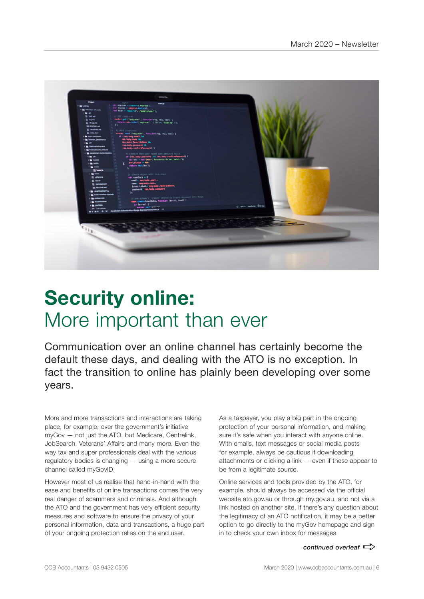

## **Security online:**  More important than ever

Communication over an online channel has certainly become the default these days, and dealing with the ATO is no exception. In fact the transition to online has plainly been developing over some years.

More and more transactions and interactions are taking place, for example, over the government's initiative myGov — not just the ATO, but Medicare, Centrelink, JobSearch, Veterans' Affairs and many more. Even the way tax and super professionals deal with the various regulatory bodies is changing — using a more secure channel called myGovID.

However most of us realise that hand-in-hand with the ease and benefits of online transactions comes the very real danger of scammers and criminals. And although the ATO and the government has very efficient security measures and software to ensure the privacy of your personal information, data and transactions, a huge part of your ongoing protection relies on the end user.

As a taxpayer, you play a big part in the ongoing protection of your personal information, and making sure it's safe when you interact with anyone online. With emails, text messages or social media posts for example, always be cautious if downloading attachments or clicking a link — even if these appear to be from a legitimate source.

Online services and tools provided by the ATO, for example, should always be accessed via the official website ato.gov.au or through my.gov.au, and not via a link hosted on another site. If there's any question about the legitimacy of an ATO notification, it may be a better option to go directly to the myGov homepage and sign in to check your own inbox for messages.

*continued overleaf*  $\Rightarrow$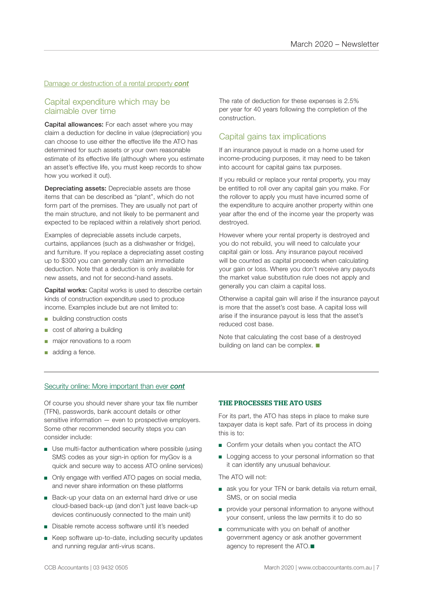### Damage or destruction of a rental property *cont*

### Capital expenditure which may be claimable over time

Capital allowances: For each asset where you may claim a deduction for decline in value (depreciation) you can choose to use either the effective life the ATO has determined for such assets or your own reasonable estimate of its effective life (although where you estimate an asset's effective life, you must keep records to show how you worked it out).

Depreciating assets: Depreciable assets are those items that can be described as "plant", which do not form part of the premises. They are usually not part of the main structure, and not likely to be permanent and expected to be replaced within a relatively short period.

Examples of depreciable assets include carpets, curtains, appliances (such as a dishwasher or fridge), and furniture. If you replace a depreciating asset costing up to \$300 you can generally claim an immediate deduction. Note that a deduction is only available for new assets, and not for second-hand assets.

Capital works: Capital works is used to describe certain kinds of construction expenditure used to produce income. Examples include but are not limited to:

- building construction costs
- cost of altering a building
- major renovations to a room
- adding a fence.

The rate of deduction for these expenses is 2.5% per year for 40 years following the completion of the construction.

### Capital gains tax implications

If an insurance payout is made on a home used for income-producing purposes, it may need to be taken into account for capital gains tax purposes.

If you rebuild or replace your rental property, you may be entitled to roll over any capital gain you make. For the rollover to apply you must have incurred some of the expenditure to acquire another property within one year after the end of the income year the property was destroyed.

However where your rental property is destroyed and you do not rebuild, you will need to calculate your capital gain or loss. Any insurance payout received will be counted as capital proceeds when calculating your gain or loss. Where you don't receive any payouts the market value substitution rule does not apply and generally you can claim a capital loss.

Otherwise a capital gain will arise if the insurance payout is more that the asset's cost base. A capital loss will arise if the insurance payout is less that the asset's reduced cost base.

Note that calculating the cost base of a destroyed building on land can be complex.  $\blacksquare$ 

### Security online: More important than ever *cont*

Of course you should never share your tax file number (TFN), passwords, bank account details or other sensitive information — even to prospective employers. Some other recommended security steps you can consider include:

- Use multi-factor authentication where possible (using SMS codes as your sign-in option for myGov is a quick and secure way to access ATO online services)
- Only engage with verified ATO pages on social media, and never share information on these platforms
- Back-up your data on an external hard drive or use cloud-based back-up (and don't just leave back-up devices continuously connected to the main unit)
- Disable remote access software until it's needed
- Keep software up-to-date, including security updates and running regular anti-virus scans.

#### THE PROCESSES THE ATO USES

For its part, the ATO has steps in place to make sure taxpayer data is kept safe. Part of its process in doing this is to:

- Confirm your details when you contact the ATO
- Logging access to your personal information so that it can identify any unusual behaviour.

The ATO will not:

- ask you for your TFN or bank details via return email, SMS, or on social media
- provide your personal information to anyone without your consent, unless the law permits it to do so
- communicate with you on behalf of another government agency or ask another government agency to represent the ATO. $\blacksquare$